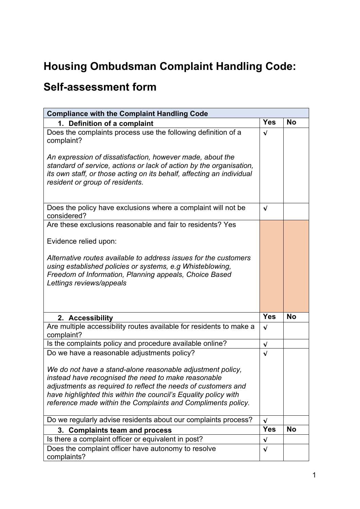## **Housing Ombudsman Complaint Handling Code:**

## **Self-assessment form**

| <b>Compliance with the Complaint Handling Code</b>                                                                                                                                                                                                                                                                    |            |           |
|-----------------------------------------------------------------------------------------------------------------------------------------------------------------------------------------------------------------------------------------------------------------------------------------------------------------------|------------|-----------|
| 1. Definition of a complaint                                                                                                                                                                                                                                                                                          | <b>Yes</b> | <b>No</b> |
| Does the complaints process use the following definition of a<br>complaint?                                                                                                                                                                                                                                           | $\sqrt{ }$ |           |
| An expression of dissatisfaction, however made, about the<br>standard of service, actions or lack of action by the organisation,<br>its own staff, or those acting on its behalf, affecting an individual<br>resident or group of residents.                                                                          |            |           |
| Does the policy have exclusions where a complaint will not be<br>considered?                                                                                                                                                                                                                                          | $\sqrt{ }$ |           |
| Are these exclusions reasonable and fair to residents? Yes                                                                                                                                                                                                                                                            |            |           |
| Evidence relied upon:                                                                                                                                                                                                                                                                                                 |            |           |
| Alternative routes available to address issues for the customers<br>using established policies or systems, e.g Whisteblowing,<br>Freedom of Information, Planning appeals, Choice Based<br>Lettings reviews/appeals                                                                                                   |            |           |
| 2. Accessibility                                                                                                                                                                                                                                                                                                      | <b>Yes</b> | <b>No</b> |
| Are multiple accessibility routes available for residents to make a<br>complaint?                                                                                                                                                                                                                                     | $\sqrt{ }$ |           |
| Is the complaints policy and procedure available online?                                                                                                                                                                                                                                                              | $\sqrt{ }$ |           |
| Do we have a reasonable adjustments policy?                                                                                                                                                                                                                                                                           | $\sqrt{ }$ |           |
| We do not have a stand-alone reasonable adjustment policy,<br>instead have recognised the need to make reasonable<br>adjustments as required to reflect the needs of customers and<br>have highlighted this within the council's Equality policy with<br>reference made within the Complaints and Compliments policy. |            |           |
| Do we regularly advise residents about our complaints process?                                                                                                                                                                                                                                                        | $\sqrt{ }$ |           |
| 3. Complaints team and process                                                                                                                                                                                                                                                                                        | <b>Yes</b> | <b>No</b> |
| Is there a complaint officer or equivalent in post?                                                                                                                                                                                                                                                                   | $\sqrt{ }$ |           |
| Does the complaint officer have autonomy to resolve<br>complaints?                                                                                                                                                                                                                                                    | $\sqrt{ }$ |           |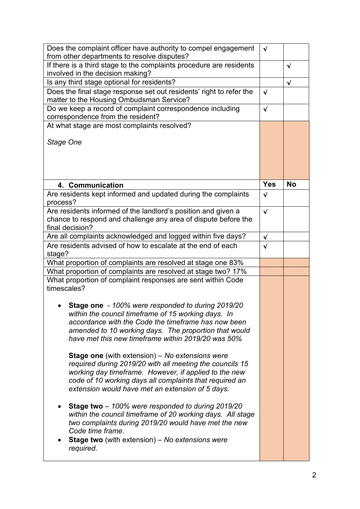| Does the complaint officer have authority to compel engagement                                                                                                                                                                                                                             | $\sqrt{ }$ |            |
|--------------------------------------------------------------------------------------------------------------------------------------------------------------------------------------------------------------------------------------------------------------------------------------------|------------|------------|
| from other departments to resolve disputes?                                                                                                                                                                                                                                                |            |            |
| If there is a third stage to the complaints procedure are residents                                                                                                                                                                                                                        |            | $\sqrt{ }$ |
| involved in the decision making?                                                                                                                                                                                                                                                           |            |            |
| Is any third stage optional for residents?                                                                                                                                                                                                                                                 |            | $\sqrt{ }$ |
| Does the final stage response set out residents' right to refer the<br>matter to the Housing Ombudsman Service?                                                                                                                                                                            | $\sqrt{ }$ |            |
| Do we keep a record of complaint correspondence including                                                                                                                                                                                                                                  | $\sqrt{ }$ |            |
| correspondence from the resident?                                                                                                                                                                                                                                                          |            |            |
| At what stage are most complaints resolved?                                                                                                                                                                                                                                                |            |            |
| Stage One                                                                                                                                                                                                                                                                                  |            |            |
| 4. Communication                                                                                                                                                                                                                                                                           | <b>Yes</b> | <b>No</b>  |
| Are residents kept informed and updated during the complaints<br>process?                                                                                                                                                                                                                  | $\sqrt{ }$ |            |
| Are residents informed of the landlord's position and given a                                                                                                                                                                                                                              | $\sqrt{ }$ |            |
| chance to respond and challenge any area of dispute before the                                                                                                                                                                                                                             |            |            |
| final decision?                                                                                                                                                                                                                                                                            |            |            |
| Are all complaints acknowledged and logged within five days?                                                                                                                                                                                                                               | $\sqrt{ }$ |            |
| Are residents advised of how to escalate at the end of each                                                                                                                                                                                                                                | $\sqrt{ }$ |            |
| stage?                                                                                                                                                                                                                                                                                     |            |            |
| What proportion of complaints are resolved at stage one 83%<br>What proportion of complaints are resolved at stage two? 17%                                                                                                                                                                |            |            |
| What proportion of complaint responses are sent within Code                                                                                                                                                                                                                                |            |            |
| timescales?                                                                                                                                                                                                                                                                                |            |            |
|                                                                                                                                                                                                                                                                                            |            |            |
| Stage one - 100% were responded to during 2019/20<br>within the council timeframe of 15 working days. In<br>accordance with the Code the timeframe has now been<br>amended to 10 working days. The proportion that would<br>have met this new timeframe within 2019/20 was 50%             |            |            |
| <b>Stage one</b> (with extension) – No extensions were<br>required during 2019/20 with all meeting the councils 15<br>working day timeframe. However, if applied to the new<br>code of 10 working days all complaints that required an<br>extension would have met an extension of 5 days. |            |            |
| Stage two - 100% were responded to during 2019/20<br>within the council timeframe of 20 working days. All stage<br>two complaints during 2019/20 would have met the new<br>Code time frame.<br><b>Stage two</b> (with extension) – No extensions were<br>required.                         |            |            |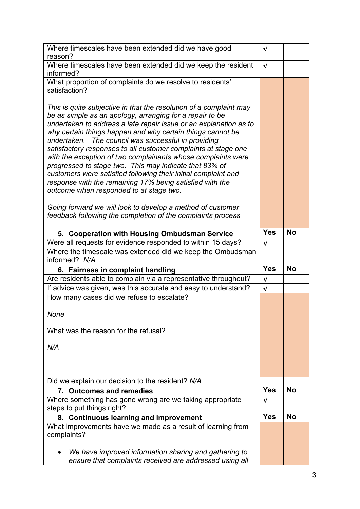| Where timescales have been extended did we have good                                                                          | $\sqrt{ }$ |           |
|-------------------------------------------------------------------------------------------------------------------------------|------------|-----------|
| reason?                                                                                                                       |            |           |
| Where timescales have been extended did we keep the resident<br>informed?                                                     | $\sqrt{ }$ |           |
| What proportion of complaints do we resolve to residents'                                                                     |            |           |
| satisfaction?                                                                                                                 |            |           |
|                                                                                                                               |            |           |
| This is quite subjective in that the resolution of a complaint may                                                            |            |           |
| be as simple as an apology, arranging for a repair to be<br>undertaken to address a late repair issue or an explanation as to |            |           |
| why certain things happen and why certain things cannot be                                                                    |            |           |
| undertaken. The council was successful in providing                                                                           |            |           |
| satisfactory responses to all customer complaints at stage one                                                                |            |           |
| with the exception of two complainants whose complaints were                                                                  |            |           |
| progressed to stage two. This may indicate that 83% of                                                                        |            |           |
| customers were satisfied following their initial complaint and                                                                |            |           |
| response with the remaining 17% being satisfied with the<br>outcome when responded to at stage two.                           |            |           |
|                                                                                                                               |            |           |
| Going forward we will look to develop a method of customer                                                                    |            |           |
| feedback following the completion of the complaints process                                                                   |            |           |
|                                                                                                                               |            |           |
| 5. Cooperation with Housing Ombudsman Service                                                                                 | <b>Yes</b> | <b>No</b> |
| Were all requests for evidence responded to within 15 days?                                                                   | $\sqrt{ }$ |           |
| Where the timescale was extended did we keep the Ombudsman<br>informed? N/A                                                   |            |           |
| 6. Fairness in complaint handling                                                                                             | <b>Yes</b> | <b>No</b> |
| Are residents able to complain via a representative throughout?                                                               |            |           |
|                                                                                                                               | $\sqrt{ }$ |           |
| If advice was given, was this accurate and easy to understand?                                                                | $\sqrt{ }$ |           |
| How many cases did we refuse to escalate?                                                                                     |            |           |
|                                                                                                                               |            |           |
| None                                                                                                                          |            |           |
| What was the reason for the refusal?                                                                                          |            |           |
|                                                                                                                               |            |           |
| N/A                                                                                                                           |            |           |
|                                                                                                                               |            |           |
|                                                                                                                               |            |           |
| Did we explain our decision to the resident? N/A                                                                              |            |           |
| 7. Outcomes and remedies                                                                                                      | <b>Yes</b> | <b>No</b> |
| Where something has gone wrong are we taking appropriate                                                                      | $\sqrt{ }$ |           |
| steps to put things right?                                                                                                    |            |           |
| 8. Continuous learning and improvement                                                                                        | <b>Yes</b> | <b>No</b> |
| What improvements have we made as a result of learning from                                                                   |            |           |
| complaints?                                                                                                                   |            |           |
| We have improved information sharing and gathering to                                                                         |            |           |